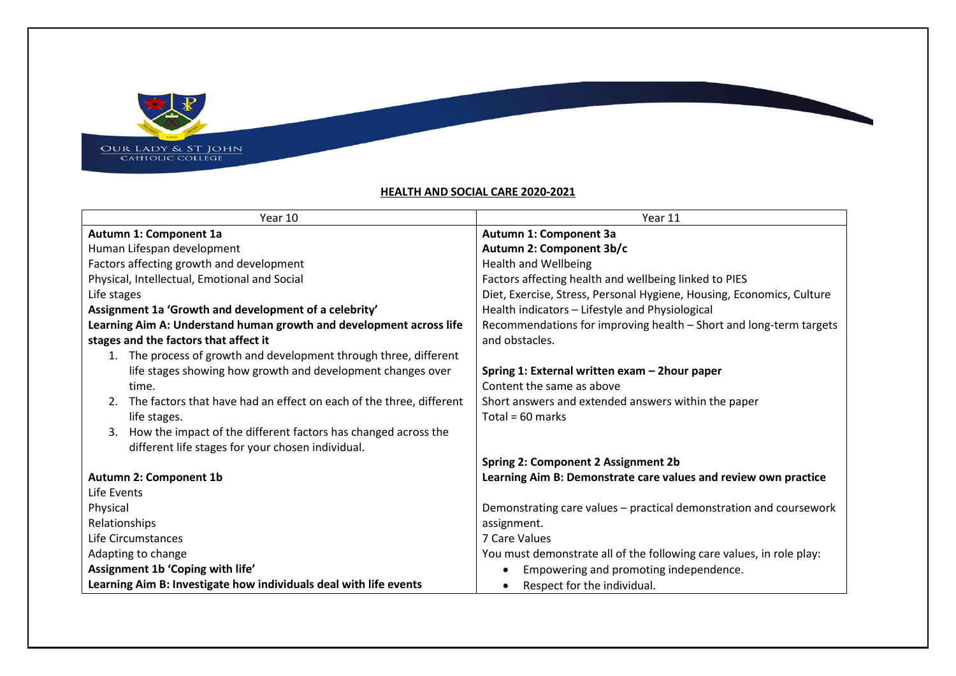

## **HEALTH AND SOCIAL CARE 2020-2021**

**Repubblic Contracts** 

| Year 10                                                                | Year 11                                                               |
|------------------------------------------------------------------------|-----------------------------------------------------------------------|
| Autumn 1: Component 1a                                                 | Autumn 1: Component 3a                                                |
| Human Lifespan development                                             | Autumn 2: Component 3b/c                                              |
| Factors affecting growth and development                               | <b>Health and Wellbeing</b>                                           |
| Physical, Intellectual, Emotional and Social                           | Factors affecting health and wellbeing linked to PIES                 |
| Life stages                                                            | Diet, Exercise, Stress, Personal Hygiene, Housing, Economics, Culture |
| Assignment 1a 'Growth and development of a celebrity'                  | Health indicators - Lifestyle and Physiological                       |
| Learning Aim A: Understand human growth and development across life    | Recommendations for improving health - Short and long-term targets    |
| stages and the factors that affect it                                  | and obstacles.                                                        |
| 1. The process of growth and development through three, different      |                                                                       |
| life stages showing how growth and development changes over            | Spring 1: External written exam - 2hour paper                         |
| time.                                                                  | Content the same as above                                             |
| 2. The factors that have had an effect on each of the three, different | Short answers and extended answers within the paper                   |
| life stages.                                                           | Total = $60$ marks                                                    |
| How the impact of the different factors has changed across the<br>3.   |                                                                       |
| different life stages for your chosen individual.                      |                                                                       |
|                                                                        | <b>Spring 2: Component 2 Assignment 2b</b>                            |
| <b>Autumn 2: Component 1b</b>                                          | Learning Aim B: Demonstrate care values and review own practice       |
| Life Events                                                            |                                                                       |
| Physical                                                               | Demonstrating care values - practical demonstration and coursework    |
| Relationships                                                          | assignment.                                                           |
| Life Circumstances                                                     | 7 Care Values                                                         |
| Adapting to change                                                     | You must demonstrate all of the following care values, in role play:  |
| Assignment 1b 'Coping with life'                                       | Empowering and promoting independence.<br>$\bullet$                   |
| Learning Aim B: Investigate how individuals deal with life events      | Respect for the individual.                                           |